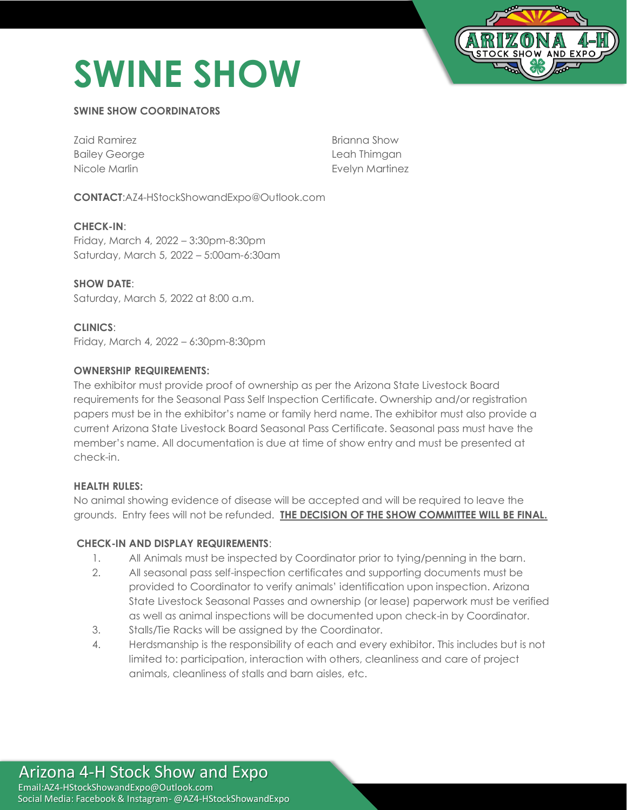# **SWINE SHOW**



### **SWINE SHOW COORDINATORS**

Zaid Ramirez Bailey George Nicole Marlin

Brianna Show Leah Thimgan Evelyn Martinez

**CONTACT**:AZ4-HStockShowandExpo@Outlook.com

**CHECK-IN**: Friday, March 4, 2022 – 3:30pm-8:30pm Saturday, March 5, 2022 – 5:00am-6:30am

**SHOW DATE**: Saturday, March 5, 2022 at 8:00 a.m.

**CLINICS**: Friday, March 4, 2022 – 6:30pm-8:30pm

### **OWNERSHIP REQUIREMENTS:**

The exhibitor must provide proof of ownership as per the Arizona State Livestock Board requirements for the Seasonal Pass Self Inspection Certificate. Ownership and/or registration papers must be in the exhibitor's name or family herd name. The exhibitor must also provide a current Arizona State Livestock Board Seasonal Pass Certificate. Seasonal pass must have the member's name. All documentation is due at time of show entry and must be presented at check-in.

### **HEALTH RULES:**

No animal showing evidence of disease will be accepted and will be required to leave the grounds. Entry fees will not be refunded. **THE DECISION OF THE SHOW COMMITTEE WILL BE FINAL.**

### **CHECK-IN AND DISPLAY REQUIREMENTS**:

- 1. All Animals must be inspected by Coordinator prior to tying/penning in the barn.
- 2. All seasonal pass self-inspection certificates and supporting documents must be provided to Coordinator to verify animals' identification upon inspection. Arizona State Livestock Seasonal Passes and ownership (or lease) paperwork must be verified as well as animal inspections will be documented upon check-in by Coordinator.
- 3. Stalls/Tie Racks will be assigned by the Coordinator.
- 4. Herdsmanship is the responsibility of each and every exhibitor. This includes but is not limited to: participation, interaction with others, cleanliness and care of project animals, cleanliness of stalls and barn aisles, etc.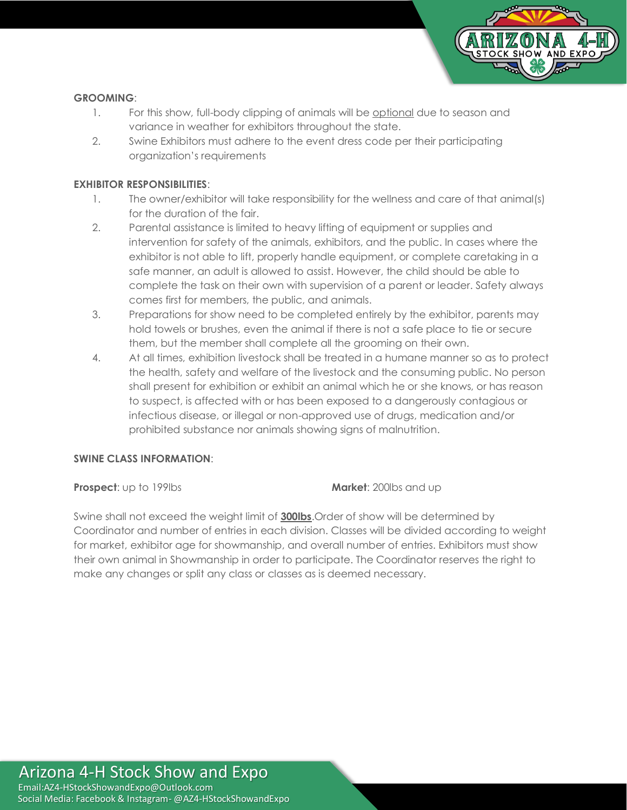

### **GROOMING**:

- 1. For this show, full-body clipping of animals will be optional due to season and variance in weather for exhibitors throughout the state.
- 2. Swine Exhibitors must adhere to the event dress code per their participating organization's requirements

### **EXHIBITOR RESPONSIBILITIES**:

- 1. The owner/exhibitor will take responsibility for the wellness and care of that animal(s) for the duration of the fair.
- 2. Parental assistance is limited to heavy lifting of equipment or supplies and intervention for safety of the animals, exhibitors, and the public. In cases where the exhibitor is not able to lift, properly handle equipment, or complete caretaking in a safe manner, an adult is allowed to assist. However, the child should be able to complete the task on their own with supervision of a parent or leader. Safety always comes first for members, the public, and animals.
- 3. Preparations for show need to be completed entirely by the exhibitor, parents may hold towels or brushes, even the animal if there is not a safe place to tie or secure them, but the member shall complete all the grooming on their own.
- 4. At all times, exhibition livestock shall be treated in a humane manner so as to protect the health, safety and welfare of the livestock and the consuming public. No person shall present for exhibition or exhibit an animal which he or she knows, or has reason to suspect, is affected with or has been exposed to a dangerously contagious or infectious disease, or illegal or non-approved use of drugs, medication and/or prohibited substance nor animals showing signs of malnutrition.

### **SWINE CLASS INFORMATION**:

### **Prospect**: up to 199lbs **Market**: 200lbs and up

Swine shall not exceed the weight limit of **300lbs**.Order of show will be determined by Coordinator and number of entries in each division. Classes will be divided according to weight for market, exhibitor age for showmanship, and overall number of entries. Exhibitors must show their own animal in Showmanship in order to participate. The Coordinator reserves the right to make any changes or split any class or classes as is deemed necessary.